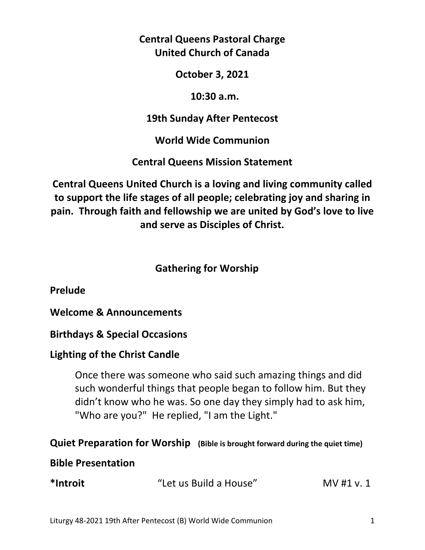**Central Queens Pastoral Charge United Church of Canada** 

**October 3, 2021** 

 **10:30 a.m.** 

**19th Sunday After Pentecost** 

**World Wide Communion** 

**Central Queens Mission Statement** 

**Central Queens United Church is a loving and living community called to support the life stages of all people; celebrating joy and sharing in pain. Through faith and fellowship we are united by God's love to live and serve as Disciples of Christ.**

# **Gathering for Worship**

**Prelude** 

**Welcome & Announcements** 

**Birthdays & Special Occasions** 

# **Lighting of the Christ Candle**

 Once there was someone who said such amazing things and did such wonderful things that people began to follow him. But they didn't know who he was. So one day they simply had to ask him, "Who are you?" He replied, "I am the Light."

# **Quiet Preparation for Worship (Bible is brought forward during the quiet time)**

# **Bible Presentation**

| *Introit | "Let us Build a House" | MV #1 v. 1 |
|----------|------------------------|------------|
|----------|------------------------|------------|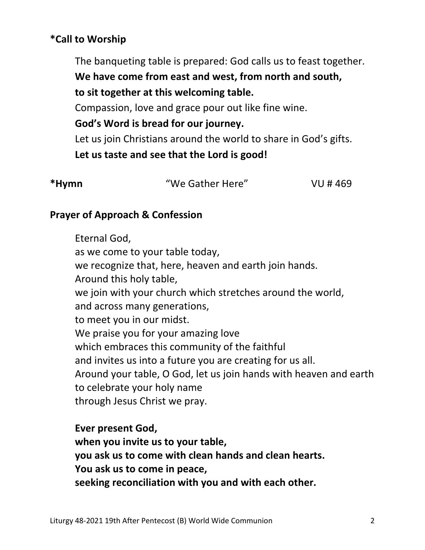# **\*Call to Worship**

The banqueting table is prepared: God calls us to feast together. **We have come from east and west, from north and south, to sit together at this welcoming table.**  Compassion, love and grace pour out like fine wine.  **God's Word is bread for our journey.**  Let us join Christians around the world to share in God's gifts.  **Let us taste and see that the Lord is good!** 

| *Hymn | "We Gather Here" | VU # 469 |
|-------|------------------|----------|
|       |                  |          |

# **Prayer of Approach & Confession**

 Eternal God, as we come to your table today, we recognize that, here, heaven and earth join hands. Around this holy table, we join with your church which stretches around the world, and across many generations, to meet you in our midst. We praise you for your amazing love which embraces this community of the faithful and invites us into a future you are creating for us all. Around your table, O God, let us join hands with heaven and earth to celebrate your holy name through Jesus Christ we pray.

 **Ever present God, when you invite us to your table, you ask us to come with clean hands and clean hearts. You ask us to come in peace, seeking reconciliation with you and with each other.**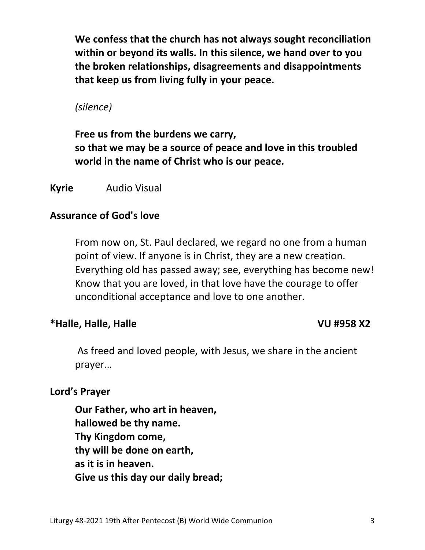**We confess that the church has not always sought reconciliation within or beyond its walls. In this silence, we hand over to you the broken relationships, disagreements and disappointments that keep us from living fully in your peace.** 

 *(silence)* 

 **Free us from the burdens we carry, so that we may be a source of peace and love in this troubled world in the name of Christ who is our peace.** 

# **Kyrie** Audio Visual

# **Assurance of God's love**

 From now on, St. Paul declared, we regard no one from a human point of view. If anyone is in Christ, they are a new creation. Everything old has passed away; see, everything has become new! Know that you are loved, in that love have the courage to offer unconditional acceptance and love to one another.

# **\*Halle, Halle, Halle VU #958 X2**

 As freed and loved people, with Jesus, we share in the ancient prayer…

# **Lord's Prayer**

**Our Father, who art in heaven, hallowed be thy name. Thy Kingdom come, thy will be done on earth, as it is in heaven. Give us this day our daily bread;**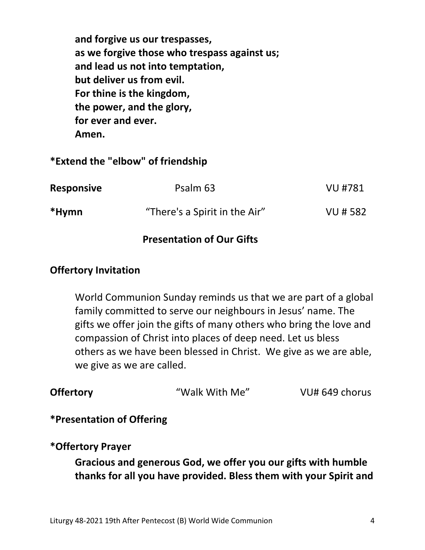**and forgive us our trespasses, as we forgive those who trespass against us; and lead us not into temptation, but deliver us from evil. For thine is the kingdom, the power, and the glory, for ever and ever. Amen.** 

### **\*Extend the "elbow" of friendship**

| <b>Responsive</b> | Psalm 63                      | VU #781  |
|-------------------|-------------------------------|----------|
| *Hymn             | "There's a Spirit in the Air" | VU # 582 |

# **Presentation of Our Gifts**

## **Offertory Invitation**

World Communion Sunday reminds us that we are part of a global family committed to serve our neighbours in Jesus' name. The gifts we offer join the gifts of many others who bring the love and compassion of Christ into places of deep need. Let us bless others as we have been blessed in Christ. We give as we are able, we give as we are called.

# **Offertory Walk With Me"** VU# 649 chorus

### **\*Presentation of Offering**

### **\*Offertory Prayer**

 **Gracious and generous God, we offer you our gifts with humble thanks for all you have provided. Bless them with your Spirit and**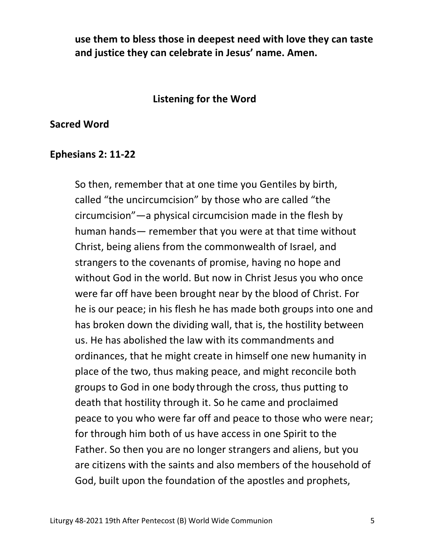**use them to bless those in deepest need with love they can taste and justice they can celebrate in Jesus' name. Amen.** 

### **Listening for the Word**

#### **Sacred Word**

#### **Ephesians 2: 11-22**

So then, remember that at one time you Gentiles by birth, called "the uncircumcision" by those who are called "the circumcision"—a physical circumcision made in the flesh by human hands— remember that you were at that time without Christ, being aliens from the commonwealth of Israel, and strangers to the covenants of promise, having no hope and without God in the world. But now in Christ Jesus you who once were far off have been brought near by the blood of Christ. For he is our peace; in his flesh he has made both groups into one and has broken down the dividing wall, that is, the hostility between us. He has abolished the law with its commandments and ordinances, that he might create in himself one new humanity in place of the two, thus making peace, and might reconcile both groups to God in one body through the cross, thus putting to death that hostility through it. So he came and proclaimed peace to you who were far off and peace to those who were near; for through him both of us have access in one Spirit to the Father. So then you are no longer strangers and aliens, but you are citizens with the saints and also members of the household of God, built upon the foundation of the apostles and prophets,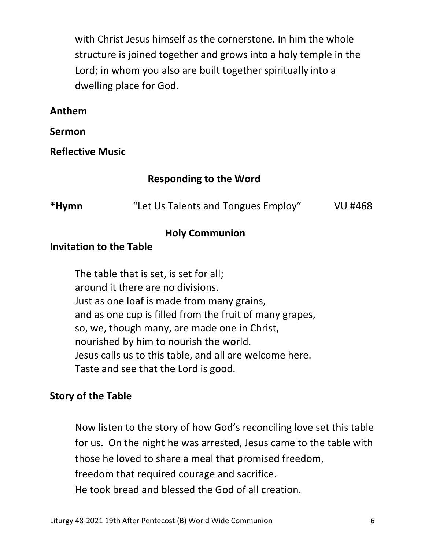with Christ Jesus himself as the cornerstone. In him the whole structure is joined together and grows into a holy temple in the Lord; in whom you also are built together spiritually into a dwelling place for God.

# **Anthem**

**Sermon** 

**Reflective Music** 

# **Responding to the Word**

| *Hymn | "Let Us Talents and Tongues Employ" | VU #468 |
|-------|-------------------------------------|---------|
|-------|-------------------------------------|---------|

## **Holy Communion**

## **Invitation to the Table**

 The table that is set, is set for all; around it there are no divisions. Just as one loaf is made from many grains, and as one cup is filled from the fruit of many grapes, so, we, though many, are made one in Christ, nourished by him to nourish the world. Jesus calls us to this table, and all are welcome here. Taste and see that the Lord is good.

# **Story of the Table**

 Now listen to the story of how God's reconciling love set this table for us. On the night he was arrested, Jesus came to the table with those he loved to share a meal that promised freedom, freedom that required courage and sacrifice. He took bread and blessed the God of all creation.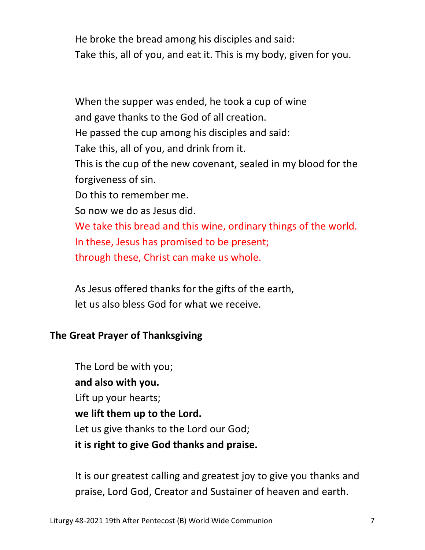He broke the bread among his disciples and said: Take this, all of you, and eat it. This is my body, given for you.

 When the supper was ended, he took a cup of wine and gave thanks to the God of all creation. He passed the cup among his disciples and said: Take this, all of you, and drink from it. This is the cup of the new covenant, sealed in my blood for the forgiveness of sin. Do this to remember me. So now we do as Jesus did. We take this bread and this wine, ordinary things of the world. In these, Jesus has promised to be present; through these, Christ can make us whole.

 As Jesus offered thanks for the gifts of the earth, let us also bless God for what we receive.

# **The Great Prayer of Thanksgiving**

 The Lord be with you;  **and also with you.**  Lift up your hearts;  **we lift them up to the Lord.** Let us give thanks to the Lord our God;  **it is right to give God thanks and praise.** 

 It is our greatest calling and greatest joy to give you thanks and praise, Lord God, Creator and Sustainer of heaven and earth.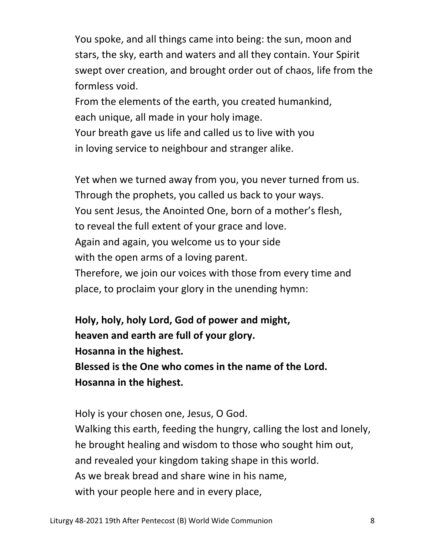You spoke, and all things came into being: the sun, moon and stars, the sky, earth and waters and all they contain. Your Spirit swept over creation, and brought order out of chaos, life from the formless void.

 From the elements of the earth, you created humankind, each unique, all made in your holy image.

 Your breath gave us life and called us to live with you in loving service to neighbour and stranger alike.

 Yet when we turned away from you, you never turned from us. Through the prophets, you called us back to your ways. You sent Jesus, the Anointed One, born of a mother's flesh, to reveal the full extent of your grace and love. Again and again, you welcome us to your side with the open arms of a loving parent. Therefore, we join our voices with those from every time and place, to proclaim your glory in the unending hymn:

 **Holy, holy, holy Lord, God of power and might, heaven and earth are full of your glory. Hosanna in the highest. Blessed is the One who comes in the name of the Lord. Hosanna in the highest.** 

 Holy is your chosen one, Jesus, O God. Walking this earth, feeding the hungry, calling the lost and lonely, he brought healing and wisdom to those who sought him out, and revealed your kingdom taking shape in this world. As we break bread and share wine in his name, with your people here and in every place,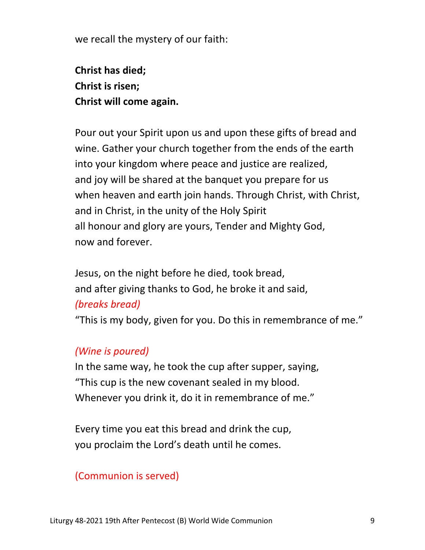we recall the mystery of our faith:

 **Christ has died; Christ is risen; Christ will come again.** 

 Pour out your Spirit upon us and upon these gifts of bread and wine. Gather your church together from the ends of the earth into your kingdom where peace and justice are realized, and joy will be shared at the banquet you prepare for us when heaven and earth join hands. Through Christ, with Christ, and in Christ, in the unity of the Holy Spirit all honour and glory are yours, Tender and Mighty God, now and forever.

 Jesus, on the night before he died, took bread, and after giving thanks to God, he broke it and said, *(breaks bread)* 

"This is my body, given for you. Do this in remembrance of me."

# *(Wine is poured)*

 In the same way, he took the cup after supper, saying, "This cup is the new covenant sealed in my blood. Whenever you drink it, do it in remembrance of me."

 Every time you eat this bread and drink the cup, you proclaim the Lord's death until he comes.

# (Communion is served)